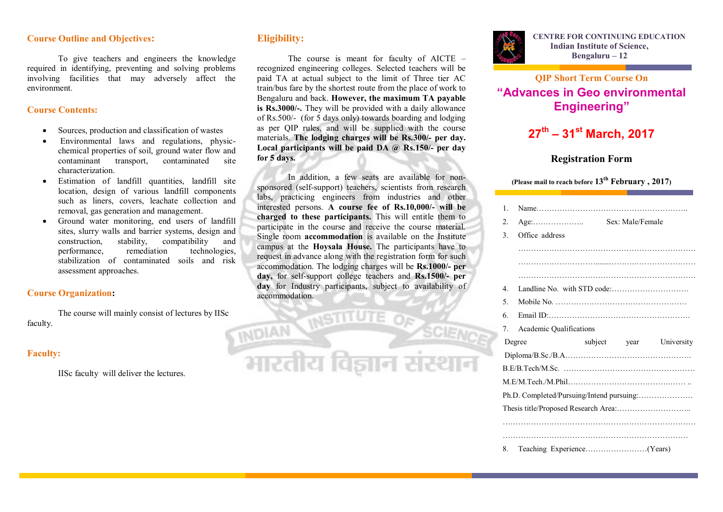### **Course Outline and Objectives:**

To give teachers and engineers the knowledge required in identifying, preventing and solving problems involving facilities that may adversely affect the environment.

#### **Course Contents:**

- Sources, production and classification of wastes
- Environmental laws and regulations, physicchemical properties of soil, ground water flow and contaminant transport, contaminated site characterization.
- Estimation of landfill quantities, landfill site location, design of various landfill components such as liners, covers, leachate collection and removal, gas generation and management.
- Ground water monitoring, end users of landfill sites, slurry walls and barrier systems, design and construction, stability, compatibility and performance, remediation technologies, stabilization of contaminated soils and risk assessment approaches.

### **Course Organization:**

The course will mainly consist of lectures by IISc faculty. *MDIAN* MSTITUTE OF

## **Faculty:**

IISc faculty will deliver the lectures.

## **Eligibility:**

The course is meant for faculty of AICTE – recognized engineering colleges. Selected teachers will be paid TA at actual subject to the limit of Three tier AC train/bus fare by the shortest route from the place of work to Bengaluru and back. **However, the maximum TA payable is Rs.3000/-.** They will be provided with a daily allowance of Rs.500/- (for 5 days only) towards boarding and lodging as per QIP rules, and will be supplied with the course materials. **The lodging charges will be Rs.300/- per day. Local participants will be paid DA @ Rs.150/- per day for 5 days.**

In addition, a few seats are available for nonsponsored (self-support) teachers, scientists from research labs, practicing engineers from industries and other interested persons. **A course fee of Rs.10,000/- will be charged to these participants.** This will entitle them to participate in the course and receive the course material. Single room **accommodation** is available on the Institute campus at the **Hoysala House.** The participants have to request in advance along with the registration form for such accommodation. The lodging charges will be **Rs.1000/- per day,** for self-support college teachers and **Rs.1500/- per day** for Industry participants, subject to availability of accommodation.



## **QIP Short Term Course On "Advances in Geo environmental Engineering"**

# **27th – 31st March, 2017**

## **Registration Form**

## **(Please mail to reach before 13th February , 2017)**

|  | $\mathbf{1}$                              |                         |  |  |                         |  |
|--|-------------------------------------------|-------------------------|--|--|-------------------------|--|
|  | $\overline{2}$ .                          |                         |  |  |                         |  |
|  | 3.                                        | Office address          |  |  |                         |  |
|  |                                           |                         |  |  |                         |  |
|  |                                           |                         |  |  |                         |  |
|  |                                           |                         |  |  |                         |  |
|  | $\overline{4}$                            |                         |  |  |                         |  |
|  | 5 <sub>1</sub>                            |                         |  |  |                         |  |
|  | 6.                                        |                         |  |  |                         |  |
|  | $7_{\cdot}$                               | Academic Qualifications |  |  |                         |  |
|  |                                           | Degree                  |  |  | subject year University |  |
|  |                                           |                         |  |  |                         |  |
|  |                                           |                         |  |  |                         |  |
|  |                                           |                         |  |  |                         |  |
|  | Ph.D. Completed/Pursuing/Intend pursuing: |                         |  |  |                         |  |
|  |                                           |                         |  |  |                         |  |
|  |                                           |                         |  |  |                         |  |
|  |                                           |                         |  |  |                         |  |
|  | 8.                                        |                         |  |  |                         |  |
|  |                                           |                         |  |  |                         |  |